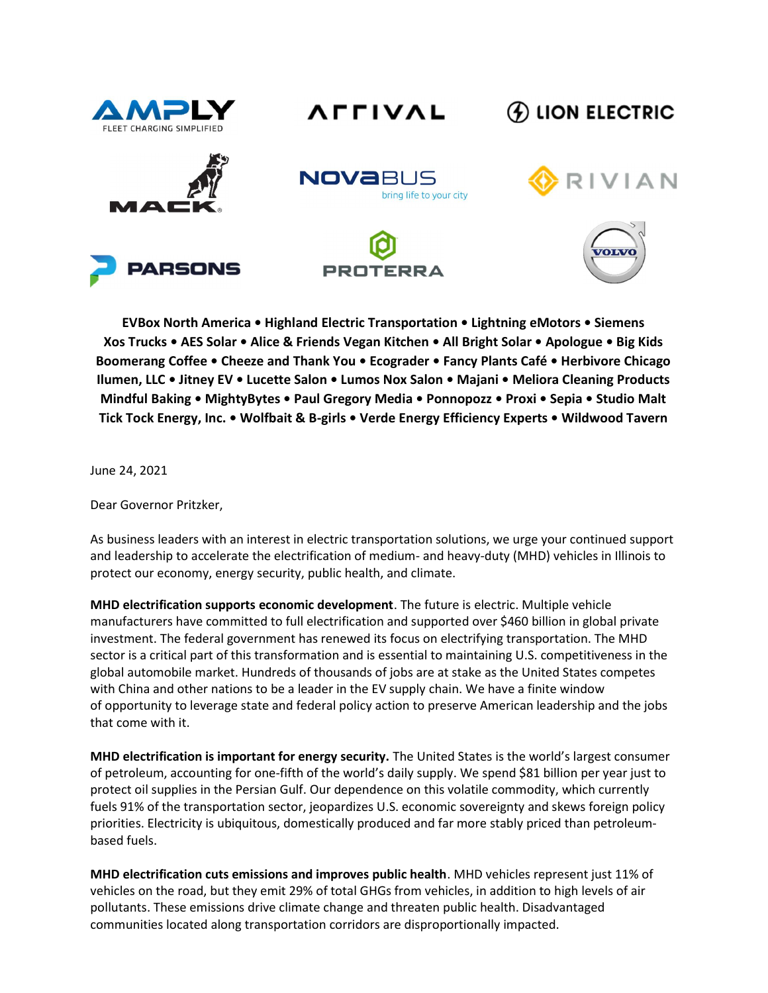







## **4) LION ELECTRIC**





VIAN

EVBox North America • Highland Electric Transportation • Lightning eMotors • Siemens Xos Trucks • AES Solar • Alice & Friends Vegan Kitchen • All Bright Solar • Apologue • Big Kids Boomerang Coffee • Cheeze and Thank You • Ecograder • Fancy Plants Café • Herbivore Chicago Ilumen, LLC • Jitney EV • Lucette Salon • Lumos Nox Salon • Majani • Meliora Cleaning Products Mindful Baking • MightyBytes • Paul Gregory Media • Ponnopozz • Proxi • Sepia • Studio Malt Tick Tock Energy, Inc. • Wolfbait & B-girls • Verde Energy Efficiency Experts • Wildwood Tavern

June 24, 2021

Dear Governor Pritzker,

As business leaders with an interest in electric transportation solutions, we urge your continued support and leadership to accelerate the electrification of medium- and heavy-duty (MHD) vehicles in Illinois to protect our economy, energy security, public health, and climate.

MHD electrification supports economic development. The future is electric. Multiple vehicle manufacturers have committed to full electrification and supported over \$460 billion in global private investment. The federal government has renewed its focus on electrifying transportation. The MHD sector is a critical part of this transformation and is essential to maintaining U.S. competitiveness in the global automobile market. Hundreds of thousands of jobs are at stake as the United States competes with China and other nations to be a leader in the EV supply chain. We have a finite window of opportunity to leverage state and federal policy action to preserve American leadership and the jobs that come with it.

MHD electrification is important for energy security. The United States is the world's largest consumer of petroleum, accounting for one-fifth of the world's daily supply. We spend \$81 billion per year just to protect oil supplies in the Persian Gulf. Our dependence on this volatile commodity, which currently fuels 91% of the transportation sector, jeopardizes U.S. economic sovereignty and skews foreign policy priorities. Electricity is ubiquitous, domestically produced and far more stably priced than petroleumbased fuels.

MHD electrification cuts emissions and improves public health. MHD vehicles represent just 11% of vehicles on the road, but they emit 29% of total GHGs from vehicles, in addition to high levels of air pollutants. These emissions drive climate change and threaten public health. Disadvantaged communities located along transportation corridors are disproportionally impacted.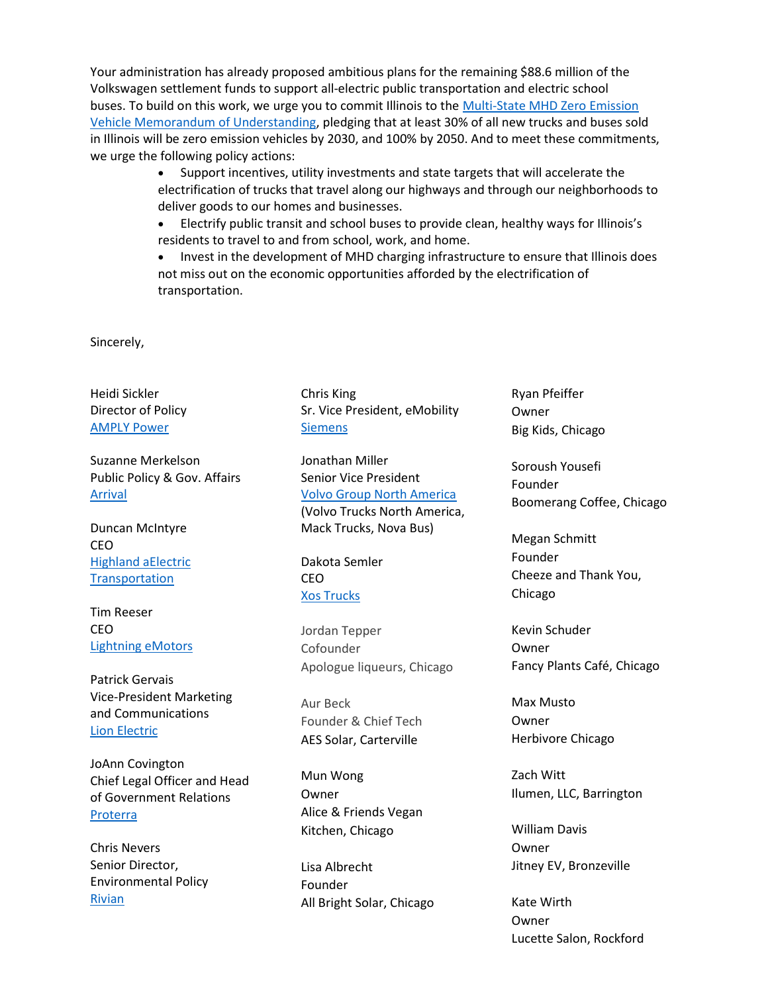Your administration has already proposed ambitious plans for the remaining \$88.6 million of the Volkswagen settlement funds to support all-electric public transportation and electric school buses. To build on this work, we urge you to commit Illinois to the Multi-State MHD Zero Emission Vehicle Memorandum of Understanding, pledging that at least 30% of all new trucks and buses sold in Illinois will be zero emission vehicles by 2030, and 100% by 2050. And to meet these commitments, we urge the following policy actions:

> Support incentives, utility investments and state targets that will accelerate the electrification of trucks that travel along our highways and through our neighborhoods to deliver goods to our homes and businesses.

 Electrify public transit and school buses to provide clean, healthy ways for Illinois's residents to travel to and from school, work, and home.

• Invest in the development of MHD charging infrastructure to ensure that Illinois does not miss out on the economic opportunities afforded by the electrification of transportation.

Sincerely,

Heidi Sickler Director of Policy AMPLY Power

Suzanne Merkelson Public Policy & Gov. Affairs Arrival

Duncan McIntyre CEO Highland aElectric **Transportation** 

Tim Reeser CEO Lightning eMotors

Patrick Gervais Vice-President Marketing and Communications Lion Electric

JoAnn Covington Chief Legal Officer and Head of Government Relations Proterra

Chris Nevers Senior Director, Environmental Policy Rivian

Chris King Sr. Vice President, eMobility **Siemens** 

Jonathan Miller Senior Vice President Volvo Group North America (Volvo Trucks North America, Mack Trucks, Nova Bus)

Dakota Semler CEO Xos Trucks

Jordan Tepper Cofounder Apologue liqueurs, Chicago

Aur Beck Founder & Chief Tech AES Solar, Carterville

Mun Wong Owner Alice & Friends Vegan Kitchen, Chicago

Lisa Albrecht Founder All Bright Solar, Chicago Ryan Pfeiffer Owner Big Kids, Chicago

Soroush Yousefi Founder Boomerang Coffee, Chicago

Megan Schmitt Founder Cheeze and Thank You, Chicago

Kevin Schuder Owner Fancy Plants Café, Chicago

Max Musto Owner Herbivore Chicago

Zach Witt Ilumen, LLC, Barrington

William Davis Owner Jitney EV, Bronzeville

Kate Wirth Owner Lucette Salon, Rockford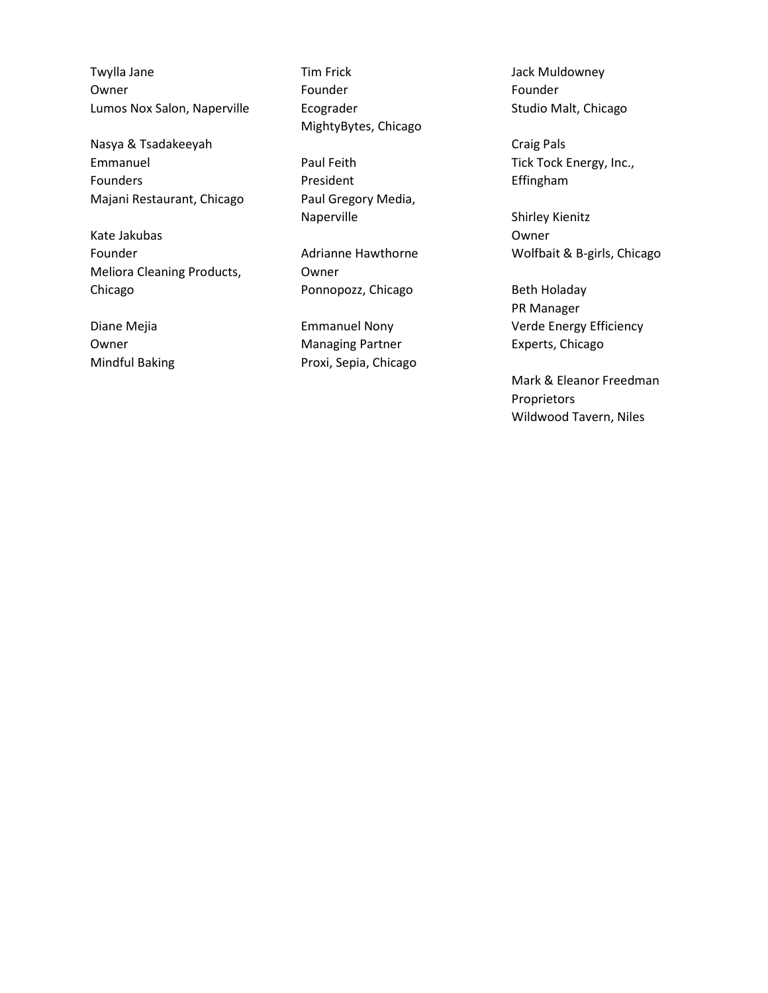Twylla Jane Owner Lumos Nox Salon, Naperville

Nasya & Tsadakeeyah Emmanuel Founders Majani Restaurant, Chicago

Kate Jakubas Founder Meliora Cleaning Products, Chicago

Diane Mejia Owner Mindful Baking Tim Frick Founder Ecograder MightyBytes, Chicago

Paul Feith President Paul Gregory Media, Naperville

Adrianne Hawthorne Owner Ponnopozz, Chicago

Emmanuel Nony Managing Partner Proxi, Sepia, Chicago Jack Muldowney Founder Studio Malt, Chicago

Craig Pals Tick Tock Energy, Inc., Effingham

Shirley Kienitz Owner Wolfbait & B-girls, Chicago

Beth Holaday PR Manager Verde Energy Efficiency Experts, Chicago

Mark & Eleanor Freedman Proprietors Wildwood Tavern, Niles